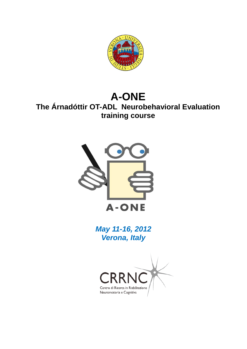

# **A-ONE The Árnadóttir OT-ADL Neurobehavioral Evaluation training course**



*May 11-16, 2012 Verona, Italy*

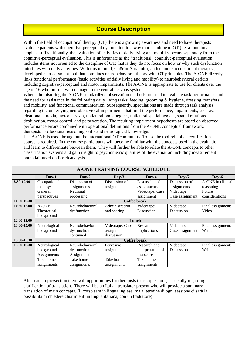# **Course Description**

Within the field of occupational therapy (OT) there is a growing awareness and need to have therapists evaluate patients with cognitive-perceptual dysfunction in a way that is unique to OT (i.e. a functional emphasis). Traditionally, the evaluation of activities of daily living and mobility occurs separately from the cognitive-perceptual evaluation. This is unfortunate as the "traditional" cognitive-perceptual evaluation includes items not oriented to the discipline of OT; that is they do not focus on how or why such dysfunction interferes with daily activities. With this in mind, Guðrún Árnadóttir, an Icelandic occupational therapist, developed an assessment tool that combines neurobehavioral theory with OT principles. The A-ONE directly links functional performance (basic activities of daily living and mobility) to neurobehavioral deficits including cognitive-perceptual and motor impairments. The A-ONE is appropriate to use for clients over the age of 16 who present with damage to the central nervous system.

When administering the A-ONE standardized observation methods are used to evaluate task performance and the need for assistance in the following daily living tasks: feeding, grooming & hygiene, dressing, transfers and mobility, and functional communication. Subsequently, speculations are made through task analysis regarding the underlying neurobehavioral impairments that limit the performance, impairments, such as: ideational apraxia, motor apraxia, unilateral body neglect, unilateral spatial neglect, spatial relations dysfunction, motor control, and perseveration. The resulting impairment hypotheses are based on observed performance errors combined with operational definitions from the A-ONE conceptual framework, therapists' professional reasoning skills and neurological knowledge.

The A-ONE is used throughout the international OT community. To use the tool reliably a certification course is required. In the course participants will become familiar with the concepts used in the evaluation and learn to differentiate between them. They will further be able to relate the A-ONE concepts to other classification systems and gain insight to psychometric qualities of the evaluation including measurement potential based on Rasch analysis.

| <b>A-ONE TRAINING COURSE SCHEDULE</b> |                     |                 |                      |                   |                 |                   |  |  |
|---------------------------------------|---------------------|-----------------|----------------------|-------------------|-----------------|-------------------|--|--|
|                                       | $Day-1$             | $Day-2$         | $\bf\textbf{D}$ av-3 | $Day-4$           | Day-5           | $\bf Dav-6$       |  |  |
| 8.30-10.00                            | Occupational        | Discussion of   | Discussion of        | Discussion of     | Discussion of   | A-ONE in clinical |  |  |
|                                       | therapy:            | assignments     | assignments          | assignments       | assignments     | reasoning         |  |  |
|                                       | General             | Neuronal        |                      | Videotape: Case   | Videotape:      | Future            |  |  |
|                                       | perspectives        | processing      |                      | assignment        | Case assignment | considerations    |  |  |
| 10.00-10.30                           | Coffee break        |                 |                      |                   |                 |                   |  |  |
| 10.30-12.00                           | $A$ -ONE:           | Neurobehavioral | Administration       | Videotape:        | Videotape:      | Final assignment: |  |  |
|                                       | Theoretical         | dysfunction     | and scoring          | <b>Discussion</b> | Discussion      | Video             |  |  |
|                                       | background          |                 |                      |                   |                 |                   |  |  |
| 12.00-13.00                           | Lunch               |                 |                      |                   |                 |                   |  |  |
| 13.00-15.00                           | Neurological        | Neurobehavioral | Videotape: Case      | Research and      | Videotape:      | Final assignment: |  |  |
|                                       | background          | dysfunction     | assignment and       | implications      | Case assignment | Written.          |  |  |
|                                       |                     | continued       | discussion           |                   |                 |                   |  |  |
| 15.00-15.30                           | <b>Coffee break</b> |                 |                      |                   |                 |                   |  |  |
| 15.30-16.30                           | Neurological        | Neurobehavioral | Pervasive            | Research and      | Videotape:      | Final assignment: |  |  |
|                                       | background          | dysfunction     | assignment           | interpretation of | Discussion      | Written.          |  |  |
|                                       | Assignments         | Assignments     |                      | test scores       |                 |                   |  |  |
|                                       | Take home           | Take home       | Take home            | Take home         |                 |                   |  |  |
|                                       | assignments         | assignments     | assignments          | assignments       |                 |                   |  |  |

After each topic/section there will opportunities for therapists to ask questions, especially regarding clarification of translation. There will be an Italian translator present who will provide a summary translation of main concepts. (Il corso sarà in lingua inglese, ma al termine di ogni sessione ci sarà la possibilità di chiedere chiarimenti in lingua italiana, con un traduttore)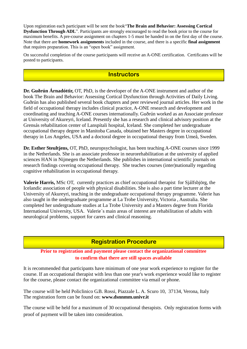Upon registration each participant will be sent the book"**The Brain and Behavior: Assessing Cortical Dysfunction Through ADL**". Participants are strongly encouraged to read the book prior to the course for maximum benefits. A pre-course assignment on chapters 1-5 must be handed in on the first day of the course. Note that there are **homework assignments** included in the course, and there is a specific **final assignment** that requires preparation. This is an "open book" assignment.

On successful completion of the course participants will receive an A-ONE certification. Certificates will be posted to participants.

# **Instructors**

**Dr. Guðrún Árnadóttir,** OT, PhD, is the developer of the A-ONE instrument and author of the book The Brain and Behavior: Assessing Cortical Dysfunction through Activities of Daily Living. Guðrún has also published several book chapters and peer reviewed journal articles. Her work in the field of occupational therapy includes clinical practice, A-ONE research and development and coordinating and teaching A-ONE courses internationally. Guðrún worked as an Associate professor at University of Akureyri, Iceland. Presently she has a research and clinical advisory position at the Grensás rehabilitation center of Lanspítali hospital, Iceland. She completed her undergraduate occupational therapy degree in Manitoba Canada, obtained her Masters degree in occupational therapy in Los Angeles, USA and a doctoral degree in occupational therapy from Umeå, Sweden.

**Dr. Esther Steultjens,** OT, PhD, neuropsychologist, has been teaching A-ONE courses since 1999 in the Netherlands. She is an associate professor in neurorehabilitation at the university of applied sciences HAN in Nijmegen the Netherlands. She publishes in international scientific journals on research findings covering occupational therapy. She teaches courses (inter)nationally regarding cognitive rehabilitation in occupational therapy.

**Valerie Harris,** MSc OT, currently practices as chief occupational therapist for Sjálfsbjörg, the Icelandic association of people with physical disabilities. She is also a part time lecturer at the University of Akureyri, teaching in the undegraduate occupational therapy programme. Valerie has also taught in the undergraduate programme at La Trobe University, Victoria , Australia. She completed her undergraduate studies at La Trobe University and a Masters degree from Florida International University, USA. Valerie´s main areas of interest are rehabilitation of adults with neurological problems, support for carers and clinical reasoning.

# **Registration Procedure**

#### **Prior to registration and payment please contact the organizational committee to confirm that there are still spaces available**

It is recommended that participants have minimum of one year work experience to register for the course. If an occupational therapist with less than one year's work experience would like to register for the course, please contact the organizational committee via email or phone.

The course will be held Policlinico G.B. Rossi, Piazzale L. A. Scuro 10, 37134, Verona, Italy The registration form can be found on: **www.dsnnmm.univr.it** 

The course will be held for a maximum of 30 occupational therapists. Only registration forms with proof of payment will be taken into consideration.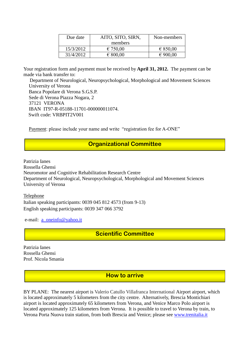| Due date  | AITO, SITO, SIRN, | Non-members |  |
|-----------|-------------------|-------------|--|
|           | members           |             |  |
| 15/3/2012 | € 750,00          | € 850,00    |  |
| 31/4/2012 | € 800,00          | € 900,00    |  |

Your registration form and payment must be received by **April 31, 2012.** The payment can be made via bank transfer to:

 Department of Neurological, Neuropsychological, Morphological and Movement Sciences University of Verona Banca Popolare di Verona S.G.S.P. Sede di Verona Piazza Nogara, 2 37121 VERONA IBAN IT97-R-05188-11701-000000011074. Swift code: VRBPIT2V001

Payment: please include your name and write "registration fee for A-ONE"

# **Organizational Committee**

Patrizia Ianes Rossella Ghensi Neuromotor and Cognitive Rehabilitation Research Centre Department of Neurological, Neuropsychological, Morphological and Movement Sciences University of Verona

Telephone Italian speaking participants: 0039 045 812 4573 (from 9-13) English speaking participants: 0039 347 066 3792

e-mail: [a\\_oneinfo@yahoo.it](mailto:a_oneinfo@yahoo.it)

**Scientific Committee**

Patrizia Ianes Rossella Ghensi Prof. Nicola Smania

**How to arrive**

BY PLANE: The nearest airport is Valerio Catullo Villafranca International Airport airport, which is located approximately 5 kilometers from the city centre. Alternatively, Brescia Montichiari airport is located approximately 65 kilometers from Verona, and Venice Marco Polo airport is located approximately 125 kilometers from Verona. It is possible to travel to Verona by train, to Verona Porta Nuova train station, from both Brescia and Venice; please see [www.trenitalia.it](http://www.trenitalia.it/)